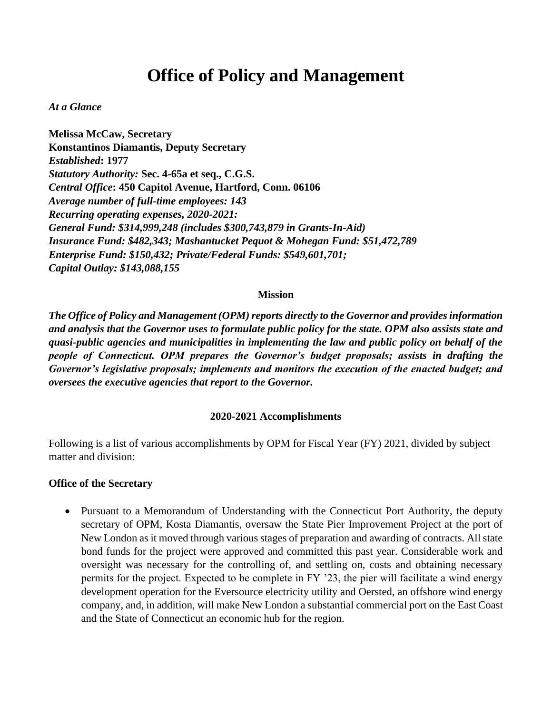# **Office of Policy and Management**

#### *At a Glance*

**Melissa McCaw, Secretary Konstantinos Diamantis, Deputy Secretary** *Established***: 1977** *Statutory Authority:* **Sec. 4-65a et seq., C.G.S.** *Central Office***: 450 Capitol Avenue, Hartford, Conn. 06106** *Average number of full-time employees: 143 Recurring operating expenses, 2020-2021: General Fund: \$314,999,248 (includes \$300,743,879 in Grants-In-Aid) Insurance Fund: \$482,343; Mashantucket Pequot & Mohegan Fund: \$51,472,789 Enterprise Fund: \$150,432; Private/Federal Funds: \$549,601,701; Capital Outlay: \$143,088,155*

#### **Mission**

*The Office of Policy and Management (OPM) reports directly to the Governor and provides information and analysis that the Governor uses to formulate public policy for the state. OPM also assists state and quasi-public agencies and municipalities in implementing the law and public policy on behalf of the people of Connecticut. OPM prepares the Governor's budget proposals; assists in drafting the Governor's legislative proposals; implements and monitors the execution of the enacted budget; and oversees the executive agencies that report to the Governor.* 

#### **2020-2021 Accomplishments**

Following is a list of various accomplishments by OPM for Fiscal Year (FY) 2021, divided by subject matter and division:

#### **Office of the Secretary**

• Pursuant to a Memorandum of Understanding with the Connecticut Port Authority, the deputy secretary of OPM, Kosta Diamantis, oversaw the State Pier Improvement Project at the port of New London as it moved through various stages of preparation and awarding of contracts. All state bond funds for the project were approved and committed this past year. Considerable work and oversight was necessary for the controlling of, and settling on, costs and obtaining necessary permits for the project. Expected to be complete in FY '23, the pier will facilitate a wind energy development operation for the Eversource electricity utility and Oersted, an offshore wind energy company, and, in addition, will make New London a substantial commercial port on the East Coast and the State of Connecticut an economic hub for the region.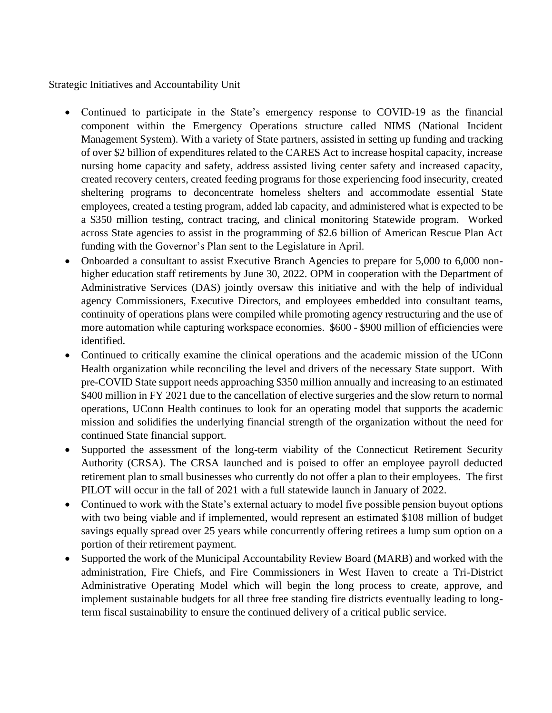Strategic Initiatives and Accountability Unit

- Continued to participate in the State's emergency response to COVID-19 as the financial component within the Emergency Operations structure called NIMS (National Incident Management System). With a variety of State partners, assisted in setting up funding and tracking of over \$2 billion of expenditures related to the CARES Act to increase hospital capacity, increase nursing home capacity and safety, address assisted living center safety and increased capacity, created recovery centers, created feeding programs for those experiencing food insecurity, created sheltering programs to deconcentrate homeless shelters and accommodate essential State employees, created a testing program, added lab capacity, and administered what is expected to be a \$350 million testing, contract tracing, and clinical monitoring Statewide program. Worked across State agencies to assist in the programming of \$2.6 billion of American Rescue Plan Act funding with the Governor's Plan sent to the Legislature in April.
- Onboarded a consultant to assist Executive Branch Agencies to prepare for 5,000 to 6,000 nonhigher education staff retirements by June 30, 2022. OPM in cooperation with the Department of Administrative Services (DAS) jointly oversaw this initiative and with the help of individual agency Commissioners, Executive Directors, and employees embedded into consultant teams, continuity of operations plans were compiled while promoting agency restructuring and the use of more automation while capturing workspace economies. \$600 - \$900 million of efficiencies were identified.
- Continued to critically examine the clinical operations and the academic mission of the UConn Health organization while reconciling the level and drivers of the necessary State support. With pre-COVID State support needs approaching \$350 million annually and increasing to an estimated \$400 million in FY 2021 due to the cancellation of elective surgeries and the slow return to normal operations, UConn Health continues to look for an operating model that supports the academic mission and solidifies the underlying financial strength of the organization without the need for continued State financial support.
- Supported the assessment of the long-term viability of the Connecticut Retirement Security Authority (CRSA). The CRSA launched and is poised to offer an employee payroll deducted retirement plan to small businesses who currently do not offer a plan to their employees. The first PILOT will occur in the fall of 2021 with a full statewide launch in January of 2022.
- Continued to work with the State's external actuary to model five possible pension buyout options with two being viable and if implemented, would represent an estimated \$108 million of budget savings equally spread over 25 years while concurrently offering retirees a lump sum option on a portion of their retirement payment.
- Supported the work of the Municipal Accountability Review Board (MARB) and worked with the administration, Fire Chiefs, and Fire Commissioners in West Haven to create a Tri-District Administrative Operating Model which will begin the long process to create, approve, and implement sustainable budgets for all three free standing fire districts eventually leading to longterm fiscal sustainability to ensure the continued delivery of a critical public service.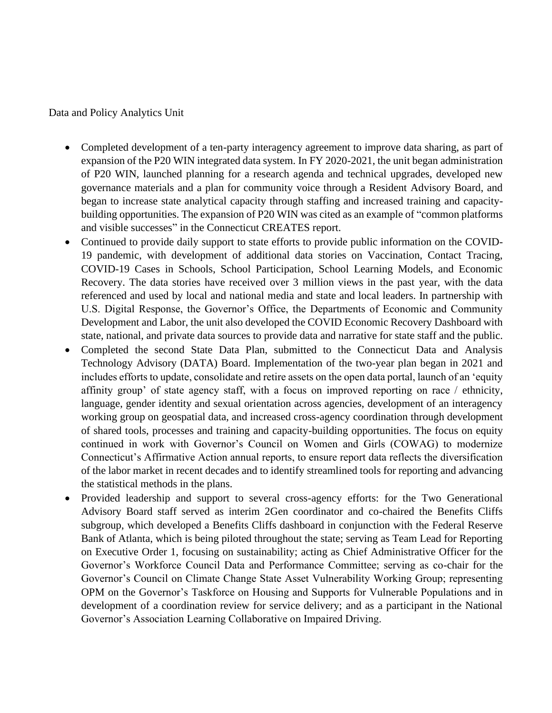Data and Policy Analytics Unit

- Completed development of a ten-party interagency agreement to improve data sharing, as part of expansion of the P20 WIN integrated data system. In FY 2020-2021, the unit began administration of P20 WIN, launched planning for a research agenda and technical upgrades, developed new governance materials and a plan for community voice through a Resident Advisory Board, and began to increase state analytical capacity through staffing and increased training and capacitybuilding opportunities. The expansion of P20 WIN was cited as an example of "common platforms and visible successes" in the Connecticut CREATES report.
- Continued to provide daily support to state efforts to provide public information on the COVID-19 pandemic, with development of additional data stories on Vaccination, Contact Tracing, COVID-19 Cases in Schools, School Participation, School Learning Models, and Economic Recovery. The data stories have received over 3 million views in the past year, with the data referenced and used by local and national media and state and local leaders. In partnership with U.S. Digital Response, the Governor's Office, the Departments of Economic and Community Development and Labor, the unit also developed the COVID Economic Recovery Dashboard with state, national, and private data sources to provide data and narrative for state staff and the public.
- Completed the second State Data Plan, submitted to the Connecticut Data and Analysis Technology Advisory (DATA) Board. Implementation of the two-year plan began in 2021 and includes efforts to update, consolidate and retire assets on the open data portal, launch of an 'equity affinity group' of state agency staff, with a focus on improved reporting on race / ethnicity, language, gender identity and sexual orientation across agencies, development of an interagency working group on geospatial data, and increased cross-agency coordination through development of shared tools, processes and training and capacity-building opportunities. The focus on equity continued in work with Governor's Council on Women and Girls (COWAG) to modernize Connecticut's Affirmative Action annual reports, to ensure report data reflects the diversification of the labor market in recent decades and to identify streamlined tools for reporting and advancing the statistical methods in the plans.
- Provided leadership and support to several cross-agency efforts: for the Two Generational Advisory Board staff served as interim 2Gen coordinator and co-chaired the Benefits Cliffs subgroup, which developed a Benefits Cliffs dashboard in conjunction with the Federal Reserve Bank of Atlanta, which is being piloted throughout the state; serving as Team Lead for Reporting on Executive Order 1, focusing on sustainability; acting as Chief Administrative Officer for the Governor's Workforce Council Data and Performance Committee; serving as co-chair for the Governor's Council on Climate Change State Asset Vulnerability Working Group; representing OPM on the Governor's Taskforce on Housing and Supports for Vulnerable Populations and in development of a coordination review for service delivery; and as a participant in the National Governor's Association Learning Collaborative on Impaired Driving.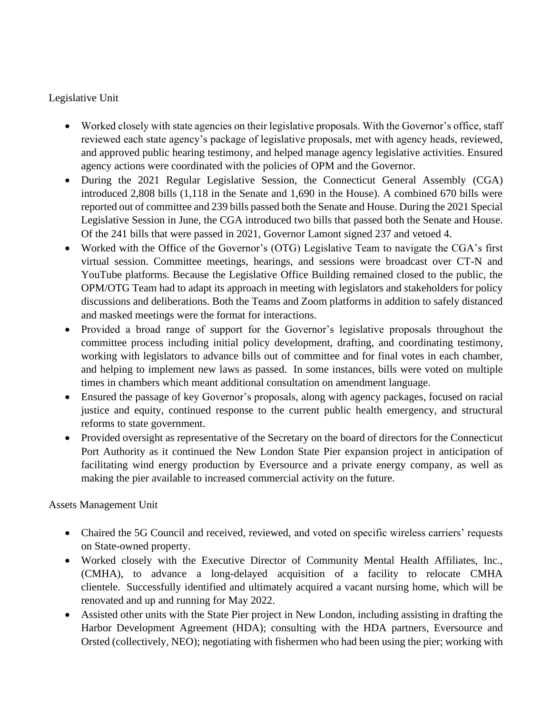## Legislative Unit

- Worked closely with state agencies on their legislative proposals. With the Governor's office, staff reviewed each state agency's package of legislative proposals, met with agency heads, reviewed, and approved public hearing testimony, and helped manage agency legislative activities. Ensured agency actions were coordinated with the policies of OPM and the Governor.
- During the 2021 Regular Legislative Session, the Connecticut General Assembly (CGA) introduced 2,808 bills (1,118 in the Senate and 1,690 in the House). A combined 670 bills were reported out of committee and 239 bills passed both the Senate and House. During the 2021 Special Legislative Session in June, the CGA introduced two bills that passed both the Senate and House. Of the 241 bills that were passed in 2021, Governor Lamont signed 237 and vetoed 4.
- Worked with the Office of the Governor's (OTG) Legislative Team to navigate the CGA's first virtual session. Committee meetings, hearings, and sessions were broadcast over CT-N and YouTube platforms. Because the Legislative Office Building remained closed to the public, the OPM/OTG Team had to adapt its approach in meeting with legislators and stakeholders for policy discussions and deliberations. Both the Teams and Zoom platforms in addition to safely distanced and masked meetings were the format for interactions.
- Provided a broad range of support for the Governor's legislative proposals throughout the committee process including initial policy development, drafting, and coordinating testimony, working with legislators to advance bills out of committee and for final votes in each chamber, and helping to implement new laws as passed. In some instances, bills were voted on multiple times in chambers which meant additional consultation on amendment language.
- Ensured the passage of key Governor's proposals, along with agency packages, focused on racial justice and equity, continued response to the current public health emergency, and structural reforms to state government.
- Provided oversight as representative of the Secretary on the board of directors for the Connecticut Port Authority as it continued the New London State Pier expansion project in anticipation of facilitating wind energy production by Eversource and a private energy company, as well as making the pier available to increased commercial activity on the future.

Assets Management Unit

- Chaired the 5G Council and received, reviewed, and voted on specific wireless carriers' requests on State-owned property.
- Worked closely with the Executive Director of Community Mental Health Affiliates, Inc., (CMHA), to advance a long-delayed acquisition of a facility to relocate CMHA clientele. Successfully identified and ultimately acquired a vacant nursing home, which will be renovated and up and running for May 2022.
- Assisted other units with the State Pier project in New London, including assisting in drafting the Harbor Development Agreement (HDA); consulting with the HDA partners, Eversource and Orsted (collectively, NEO); negotiating with fishermen who had been using the pier; working with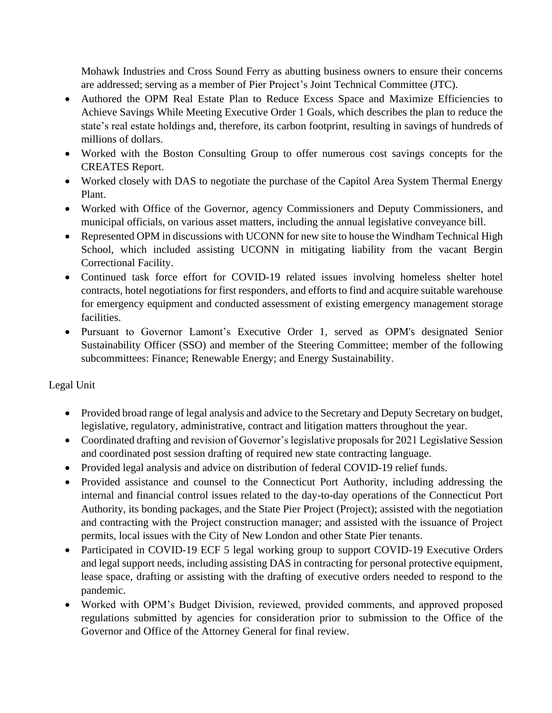Mohawk Industries and Cross Sound Ferry as abutting business owners to ensure their concerns are addressed; serving as a member of Pier Project's Joint Technical Committee (JTC).

- Authored the OPM Real Estate Plan to Reduce Excess Space and Maximize Efficiencies to Achieve Savings While Meeting Executive Order 1 Goals, which describes the plan to reduce the state's real estate holdings and, therefore, its carbon footprint, resulting in savings of hundreds of millions of dollars.
- Worked with the Boston Consulting Group to offer numerous cost savings concepts for the CREATES Report.
- Worked closely with DAS to negotiate the purchase of the Capitol Area System Thermal Energy Plant.
- Worked with Office of the Governor, agency Commissioners and Deputy Commissioners, and municipal officials, on various asset matters, including the annual legislative conveyance bill.
- Represented OPM in discussions with UCONN for new site to house the Windham Technical High School, which included assisting UCONN in mitigating liability from the vacant Bergin Correctional Facility.
- Continued task force effort for COVID-19 related issues involving homeless shelter hotel contracts, hotel negotiations for first responders, and efforts to find and acquire suitable warehouse for emergency equipment and conducted assessment of existing emergency management storage facilities.
- Pursuant to Governor Lamont's Executive Order 1, served as OPM's designated Senior Sustainability Officer (SSO) and member of the Steering Committee; member of the following subcommittees: Finance; Renewable Energy; and Energy Sustainability.

# Legal Unit

- Provided broad range of legal analysis and advice to the Secretary and Deputy Secretary on budget, legislative, regulatory, administrative, contract and litigation matters throughout the year.
- Coordinated drafting and revision of Governor's legislative proposals for 2021 Legislative Session and coordinated post session drafting of required new state contracting language.
- Provided legal analysis and advice on distribution of federal COVID-19 relief funds.
- Provided assistance and counsel to the Connecticut Port Authority, including addressing the internal and financial control issues related to the day-to-day operations of the Connecticut Port Authority, its bonding packages, and the State Pier Project (Project); assisted with the negotiation and contracting with the Project construction manager; and assisted with the issuance of Project permits, local issues with the City of New London and other State Pier tenants.
- Participated in COVID-19 ECF 5 legal working group to support COVID-19 Executive Orders and legal support needs, including assisting DAS in contracting for personal protective equipment, lease space, drafting or assisting with the drafting of executive orders needed to respond to the pandemic.
- Worked with OPM's Budget Division, reviewed, provided comments, and approved proposed regulations submitted by agencies for consideration prior to submission to the Office of the Governor and Office of the Attorney General for final review.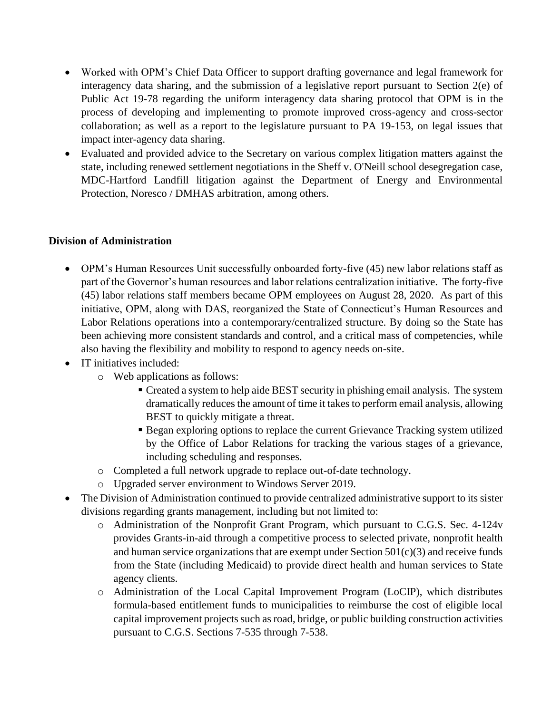- Worked with OPM's Chief Data Officer to support drafting governance and legal framework for interagency data sharing, and the submission of a legislative report pursuant to Section 2(e) of Public Act 19-78 regarding the uniform interagency data sharing protocol that OPM is in the process of developing and implementing to promote improved cross-agency and cross-sector collaboration; as well as a report to the legislature pursuant to PA 19-153, on legal issues that impact inter-agency data sharing.
- Evaluated and provided advice to the Secretary on various complex litigation matters against the state, including renewed settlement negotiations in the Sheff v. O'Neill school desegregation case, MDC-Hartford Landfill litigation against the Department of Energy and Environmental Protection, Noresco / DMHAS arbitration, among others.

## **Division of Administration**

- OPM's Human Resources Unit successfully onboarded forty-five (45) new labor relations staff as part of the Governor's human resources and labor relations centralization initiative. The forty-five (45) labor relations staff members became OPM employees on August 28, 2020. As part of this initiative, OPM, along with DAS, reorganized the State of Connecticut's Human Resources and Labor Relations operations into a contemporary/centralized structure. By doing so the State has been achieving more consistent standards and control, and a critical mass of competencies, while also having the flexibility and mobility to respond to agency needs on-site.
- IT initiatives included:
	- o Web applications as follows:
		- Created a system to help aide BEST security in phishing email analysis. The system dramatically reduces the amount of time it takes to perform email analysis, allowing BEST to quickly mitigate a threat.
		- **Example 3** Began exploring options to replace the current Grievance Tracking system utilized by the Office of Labor Relations for tracking the various stages of a grievance, including scheduling and responses.
	- o Completed a full network upgrade to replace out-of-date technology.
	- o Upgraded server environment to Windows Server 2019.
- The Division of Administration continued to provide centralized administrative support to its sister divisions regarding grants management, including but not limited to:
	- o Administration of the Nonprofit Grant Program, which pursuant to C.G.S. Sec. 4-124v provides Grants-in-aid through a competitive process to selected private, nonprofit health and human service organizations that are exempt under Section  $501(c)(3)$  and receive funds from the State (including Medicaid) to provide direct health and human services to State agency clients.
	- o Administration of the Local Capital Improvement Program (LoCIP), which distributes formula-based entitlement funds to municipalities to reimburse the cost of eligible local capital improvement projects such as road, bridge, or public building construction activities pursuant to C.G.S. Sections 7-535 through 7-538.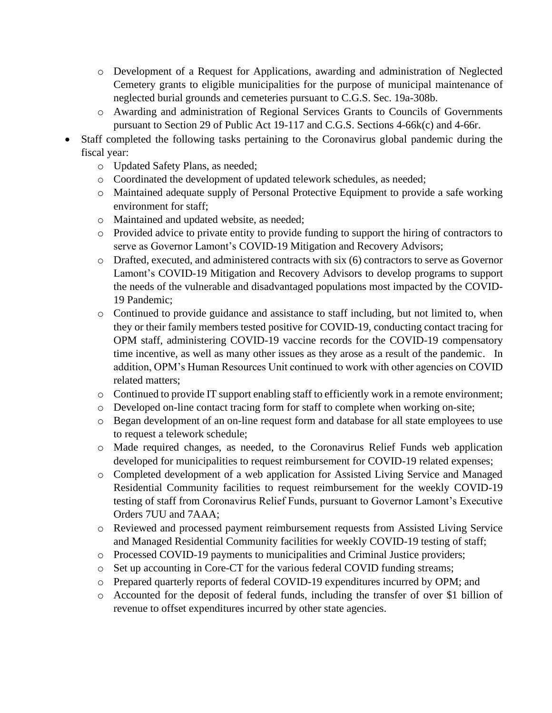- o Development of a Request for Applications, awarding and administration of Neglected Cemetery grants to eligible municipalities for the purpose of municipal maintenance of neglected burial grounds and cemeteries pursuant to C.G.S. Sec. 19a-308b.
- o Awarding and administration of Regional Services Grants to Councils of Governments pursuant to Section 29 of Public Act 19-117 and C.G.S. Sections 4-66k(c) and 4-66r.
- Staff completed the following tasks pertaining to the Coronavirus global pandemic during the fiscal year:
	- o Updated Safety Plans, as needed;
	- o Coordinated the development of updated telework schedules, as needed;
	- o Maintained adequate supply of Personal Protective Equipment to provide a safe working environment for staff;
	- o Maintained and updated website, as needed;
	- o Provided advice to private entity to provide funding to support the hiring of contractors to serve as Governor Lamont's COVID-19 Mitigation and Recovery Advisors;
	- o Drafted, executed, and administered contracts with six (6) contractors to serve as Governor Lamont's COVID-19 Mitigation and Recovery Advisors to develop programs to support the needs of the vulnerable and disadvantaged populations most impacted by the COVID-19 Pandemic;
	- o Continued to provide guidance and assistance to staff including, but not limited to, when they or their family members tested positive for COVID-19, conducting contact tracing for OPM staff, administering COVID-19 vaccine records for the COVID-19 compensatory time incentive, as well as many other issues as they arose as a result of the pandemic. In addition, OPM's Human Resources Unit continued to work with other agencies on COVID related matters;
	- $\circ$  Continued to provide IT support enabling staff to efficiently work in a remote environment;
	- o Developed on-line contact tracing form for staff to complete when working on-site;
	- o Began development of an on-line request form and database for all state employees to use to request a telework schedule;
	- o Made required changes, as needed, to the Coronavirus Relief Funds web application developed for municipalities to request reimbursement for COVID-19 related expenses;
	- o Completed development of a web application for Assisted Living Service and Managed Residential Community facilities to request reimbursement for the weekly COVID-19 testing of staff from Coronavirus Relief Funds, pursuant to Governor Lamont's Executive Orders 7UU and 7AAA;
	- o Reviewed and processed payment reimbursement requests from Assisted Living Service and Managed Residential Community facilities for weekly COVID-19 testing of staff;
	- o Processed COVID-19 payments to municipalities and Criminal Justice providers;
	- o Set up accounting in Core-CT for the various federal COVID funding streams;
	- o Prepared quarterly reports of federal COVID-19 expenditures incurred by OPM; and
	- o Accounted for the deposit of federal funds, including the transfer of over \$1 billion of revenue to offset expenditures incurred by other state agencies.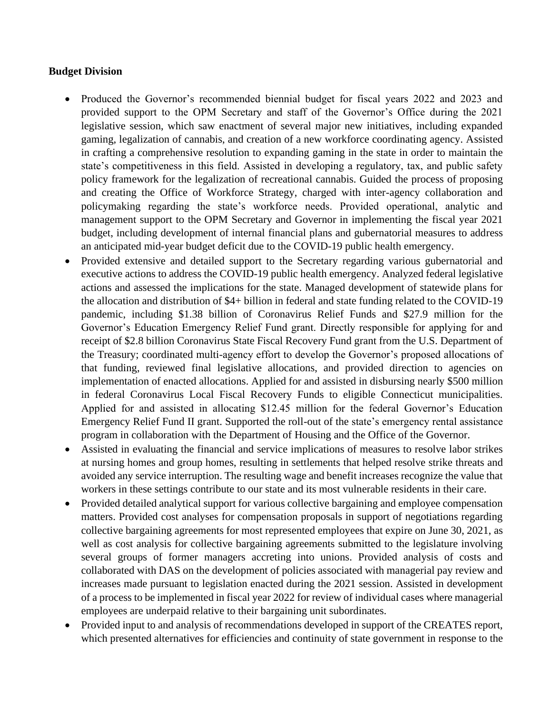#### **Budget Division**

- Produced the Governor's recommended biennial budget for fiscal years 2022 and 2023 and provided support to the OPM Secretary and staff of the Governor's Office during the 2021 legislative session, which saw enactment of several major new initiatives, including expanded gaming, legalization of cannabis, and creation of a new workforce coordinating agency. Assisted in crafting a comprehensive resolution to expanding gaming in the state in order to maintain the state's competitiveness in this field. Assisted in developing a regulatory, tax, and public safety policy framework for the legalization of recreational cannabis. Guided the process of proposing and creating the Office of Workforce Strategy, charged with inter-agency collaboration and policymaking regarding the state's workforce needs. Provided operational, analytic and management support to the OPM Secretary and Governor in implementing the fiscal year 2021 budget, including development of internal financial plans and gubernatorial measures to address an anticipated mid-year budget deficit due to the COVID-19 public health emergency.
- Provided extensive and detailed support to the Secretary regarding various gubernatorial and executive actions to address the COVID-19 public health emergency. Analyzed federal legislative actions and assessed the implications for the state. Managed development of statewide plans for the allocation and distribution of \$4+ billion in federal and state funding related to the COVID-19 pandemic, including \$1.38 billion of Coronavirus Relief Funds and \$27.9 million for the Governor's Education Emergency Relief Fund grant. Directly responsible for applying for and receipt of \$2.8 billion Coronavirus State Fiscal Recovery Fund grant from the U.S. Department of the Treasury; coordinated multi-agency effort to develop the Governor's proposed allocations of that funding, reviewed final legislative allocations, and provided direction to agencies on implementation of enacted allocations. Applied for and assisted in disbursing nearly \$500 million in federal Coronavirus Local Fiscal Recovery Funds to eligible Connecticut municipalities. Applied for and assisted in allocating \$12.45 million for the federal Governor's Education Emergency Relief Fund II grant. Supported the roll-out of the state's emergency rental assistance program in collaboration with the Department of Housing and the Office of the Governor.
- Assisted in evaluating the financial and service implications of measures to resolve labor strikes at nursing homes and group homes, resulting in settlements that helped resolve strike threats and avoided any service interruption. The resulting wage and benefit increases recognize the value that workers in these settings contribute to our state and its most vulnerable residents in their care.
- Provided detailed analytical support for various collective bargaining and employee compensation matters. Provided cost analyses for compensation proposals in support of negotiations regarding collective bargaining agreements for most represented employees that expire on June 30, 2021, as well as cost analysis for collective bargaining agreements submitted to the legislature involving several groups of former managers accreting into unions. Provided analysis of costs and collaborated with DAS on the development of policies associated with managerial pay review and increases made pursuant to legislation enacted during the 2021 session. Assisted in development of a process to be implemented in fiscal year 2022 for review of individual cases where managerial employees are underpaid relative to their bargaining unit subordinates.
- Provided input to and analysis of recommendations developed in support of the CREATES report, which presented alternatives for efficiencies and continuity of state government in response to the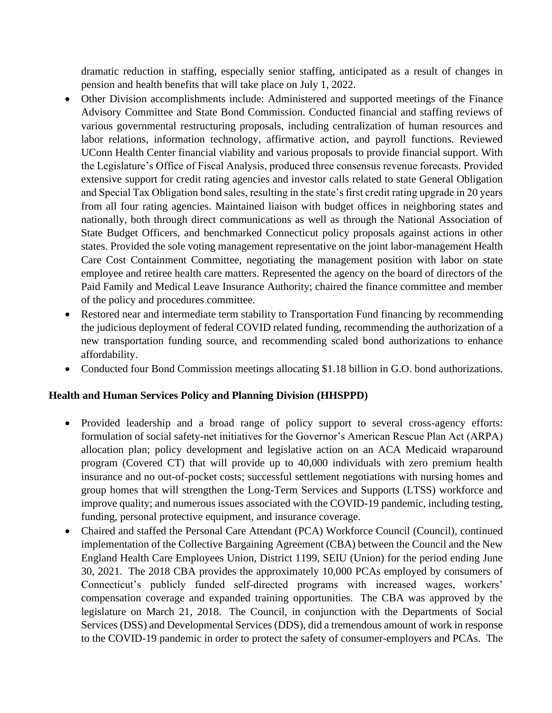dramatic reduction in staffing, especially senior staffing, anticipated as a result of changes in pension and health benefits that will take place on July 1, 2022.

- Other Division accomplishments include: Administered and supported meetings of the Finance Advisory Committee and State Bond Commission. Conducted financial and staffing reviews of various governmental restructuring proposals, including centralization of human resources and labor relations, information technology, affirmative action, and payroll functions. Reviewed UConn Health Center financial viability and various proposals to provide financial support. With the Legislature's Office of Fiscal Analysis, produced three consensus revenue forecasts. Provided extensive support for credit rating agencies and investor calls related to state General Obligation and Special Tax Obligation bond sales, resulting in the state's first credit rating upgrade in 20 years from all four rating agencies. Maintained liaison with budget offices in neighboring states and nationally, both through direct communications as well as through the National Association of State Budget Officers, and benchmarked Connecticut policy proposals against actions in other states. Provided the sole voting management representative on the joint labor-management Health Care Cost Containment Committee, negotiating the management position with labor on state employee and retiree health care matters. Represented the agency on the board of directors of the Paid Family and Medical Leave Insurance Authority; chaired the finance committee and member of the policy and procedures committee.
- Restored near and intermediate term stability to Transportation Fund financing by recommending the judicious deployment of federal COVID related funding, recommending the authorization of a new transportation funding source, and recommending scaled bond authorizations to enhance affordability.
- Conducted four Bond Commission meetings allocating \$1.18 billion in G.O. bond authorizations.

## **Health and Human Services Policy and Planning Division (HHSPPD)**

- Provided leadership and a broad range of policy support to several cross-agency efforts: formulation of social safety-net initiatives for the Governor's American Rescue Plan Act (ARPA) allocation plan; policy development and legislative action on an ACA Medicaid wraparound program (Covered CT) that will provide up to 40,000 individuals with zero premium health insurance and no out-of-pocket costs; successful settlement negotiations with nursing homes and group homes that will strengthen the Long-Term Services and Supports (LTSS) workforce and improve quality; and numerous issues associated with the COVID-19 pandemic, including testing, funding, personal protective equipment, and insurance coverage.
- Chaired and staffed the Personal Care Attendant (PCA) Workforce Council (Council), continued implementation of the Collective Bargaining Agreement (CBA) between the Council and the New England Health Care Employees Union, District 1199, SEIU (Union) for the period ending June 30, 2021. The 2018 CBA provides the approximately 10,000 PCAs employed by consumers of Connecticut's publicly funded self-directed programs with increased wages, workers' compensation coverage and expanded training opportunities. The CBA was approved by the legislature on March 21, 2018. The Council, in conjunction with the Departments of Social Services (DSS) and Developmental Services (DDS), did a tremendous amount of work in response to the COVID-19 pandemic in order to protect the safety of consumer-employers and PCAs. The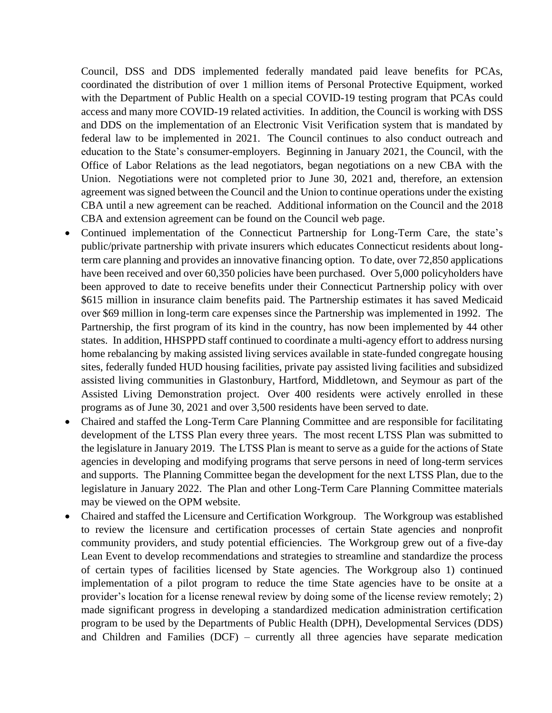Council, DSS and DDS implemented federally mandated paid leave benefits for PCAs, coordinated the distribution of over 1 million items of Personal Protective Equipment, worked with the Department of Public Health on a special COVID-19 testing program that PCAs could access and many more COVID-19 related activities. In addition, the Council is working with DSS and DDS on the implementation of an Electronic Visit Verification system that is mandated by federal law to be implemented in 2021. The Council continues to also conduct outreach and education to the State's consumer-employers. Beginning in January 2021, the Council, with the Office of Labor Relations as the lead negotiators, began negotiations on a new CBA with the Union. Negotiations were not completed prior to June 30, 2021 and, therefore, an extension agreement was signed between the Council and the Union to continue operations under the existing CBA until a new agreement can be reached. Additional information on the Council and the 2018 CBA and extension agreement can be found on the [Council web page.](https://portal.ct.gov/OPM/PCA/Governors-Personal-Care-Attendant-Workforce-Council)

- Continued implementation of the Connecticut Partnership for Long-Term Care, the state's public/private partnership with private insurers which educates Connecticut residents about longterm care planning and provides an innovative financing option. To date, over 72,850 applications have been received and over 60,350 policies have been purchased. Over 5,000 policyholders have been approved to date to receive benefits under their Connecticut Partnership policy with over \$615 million in insurance claim benefits paid. The Partnership estimates it has saved Medicaid over \$69 million in long-term care expenses since the Partnership was implemented in 1992. The Partnership, the first program of its kind in the country, has now been implemented by 44 other states. In addition, HHSPPD staff continued to coordinate a multi-agency effort to address nursing home rebalancing by making assisted living services available in state-funded congregate housing sites, federally funded HUD housing facilities, private pay assisted living facilities and subsidized assisted living communities in Glastonbury, Hartford, Middletown, and Seymour as part of the Assisted Living Demonstration project. Over 400 residents were actively enrolled in these programs as of June 30, 2021 and over 3,500 residents have been served to date.
- Chaired and staffed the Long-Term Care Planning Committee and are responsible for facilitating development of the LTSS Plan every three years. The most recent LTSS Plan was submitted to the legislature in January 2019. The LTSS Plan is meant to serve as a guide for the actions of State agencies in developing and modifying programs that serve persons in need of long-term services and supports. The Planning Committee began the development for the next LTSS Plan, due to the legislature in January 2022. [The Plan](http://www.ct.gov/opm/cwp/view.asp?a=3072&q=482894) and other Long-Term Care Planning Committee materials may be viewed on the OPM website.
- Chaired and staffed the Licensure and Certification Workgroup. The Workgroup was established to review the licensure and certification processes of certain State agencies and nonprofit community providers, and study potential efficiencies. The Workgroup grew out of a five-day Lean Event to develop recommendations and strategies to streamline and standardize the process of certain types of facilities licensed by State agencies. The Workgroup also 1) continued implementation of a pilot program to reduce the time State agencies have to be onsite at a provider's location for a license renewal review by doing some of the license review remotely; 2) made significant progress in developing a standardized medication administration certification program to be used by the Departments of Public Health (DPH), Developmental Services (DDS) and Children and Families (DCF) – currently all three agencies have separate medication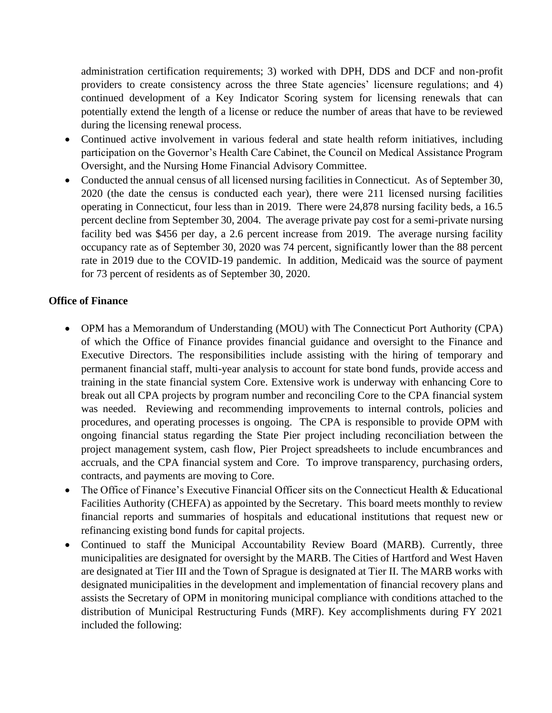administration certification requirements; 3) worked with DPH, DDS and DCF and non-profit providers to create consistency across the three State agencies' licensure regulations; and 4) continued development of a Key Indicator Scoring system for licensing renewals that can potentially extend the length of a license or reduce the number of areas that have to be reviewed during the licensing renewal process.

- Continued active involvement in various federal and state health reform initiatives, including participation on the Governor's Health Care Cabinet, the Council on Medical Assistance Program Oversight, and the Nursing Home Financial Advisory Committee.
- Conducted the annual census of all licensed nursing facilities in Connecticut. As of September 30, 2020 (the date the census is conducted each year), there were 211 licensed nursing facilities operating in Connecticut, four less than in 2019. There were 24,878 nursing facility beds, a 16.5 percent decline from September 30, 2004. The average private pay cost for a semi-private nursing facility bed was \$456 per day, a 2.6 percent increase from 2019. The average nursing facility occupancy rate as of September 30, 2020 was 74 percent, significantly lower than the 88 percent rate in 2019 due to the COVID-19 pandemic. In addition, Medicaid was the source of payment for 73 percent of residents as of September 30, 2020.

## **Office of Finance**

- OPM has a Memorandum of Understanding (MOU) with The Connecticut Port Authority (CPA) of which the Office of Finance provides financial guidance and oversight to the Finance and Executive Directors. The responsibilities include assisting with the hiring of temporary and permanent financial staff, multi-year analysis to account for state bond funds, provide access and training in the state financial system Core. Extensive work is underway with enhancing Core to break out all CPA projects by program number and reconciling Core to the CPA financial system was needed. Reviewing and recommending improvements to internal controls, policies and procedures, and operating processes is ongoing. The CPA is responsible to provide OPM with ongoing financial status regarding the State Pier project including reconciliation between the project management system, cash flow, Pier Project spreadsheets to include encumbrances and accruals, and the CPA financial system and Core. To improve transparency, purchasing orders, contracts, and payments are moving to Core.
- The Office of Finance's Executive Financial Officer sits on the Connecticut Health & Educational Facilities Authority (CHEFA) as appointed by the Secretary. This board meets monthly to review financial reports and summaries of hospitals and educational institutions that request new or refinancing existing bond funds for capital projects.
- Continued to staff the Municipal Accountability Review Board (MARB). Currently, three municipalities are designated for oversight by the MARB. The Cities of Hartford and West Haven are designated at Tier III and the Town of Sprague is designated at Tier II. The MARB works with designated municipalities in the development and implementation of financial recovery plans and assists the Secretary of OPM in monitoring municipal compliance with conditions attached to the distribution of Municipal Restructuring Funds (MRF). Key accomplishments during FY 2021 included the following: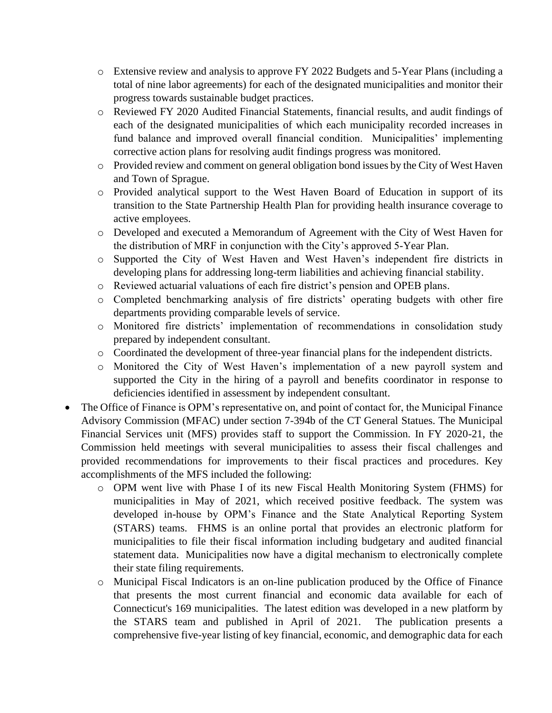- o Extensive review and analysis to approve FY 2022 Budgets and 5-Year Plans (including a total of nine labor agreements) for each of the designated municipalities and monitor their progress towards sustainable budget practices.
- o Reviewed FY 2020 Audited Financial Statements, financial results, and audit findings of each of the designated municipalities of which each municipality recorded increases in fund balance and improved overall financial condition. Municipalities' implementing corrective action plans for resolving audit findings progress was monitored.
- o Provided review and comment on general obligation bond issues by the City of West Haven and Town of Sprague.
- o Provided analytical support to the West Haven Board of Education in support of its transition to the State Partnership Health Plan for providing health insurance coverage to active employees.
- o Developed and executed a Memorandum of Agreement with the City of West Haven for the distribution of MRF in conjunction with the City's approved 5-Year Plan.
- o Supported the City of West Haven and West Haven's independent fire districts in developing plans for addressing long-term liabilities and achieving financial stability.
- o Reviewed actuarial valuations of each fire district's pension and OPEB plans.
- o Completed benchmarking analysis of fire districts' operating budgets with other fire departments providing comparable levels of service.
- o Monitored fire districts' implementation of recommendations in consolidation study prepared by independent consultant.
- o Coordinated the development of three-year financial plans for the independent districts.
- o Monitored the City of West Haven's implementation of a new payroll system and supported the City in the hiring of a payroll and benefits coordinator in response to deficiencies identified in assessment by independent consultant.
- The Office of Finance is OPM's representative on, and point of contact for, the Municipal Finance Advisory Commission (MFAC) under section 7-394b of the CT General Statues. The Municipal Financial Services unit (MFS) provides staff to support the Commission. In FY 2020-21, the Commission held meetings with several municipalities to assess their fiscal challenges and provided recommendations for improvements to their fiscal practices and procedures. Key accomplishments of the MFS included the following:
	- o OPM went live with Phase I of its new Fiscal Health Monitoring System (FHMS) for municipalities in May of 2021, which received positive feedback. The system was developed in-house by OPM's Finance and the State Analytical Reporting System (STARS) teams. FHMS is an online portal that provides an electronic platform for municipalities to file their fiscal information including budgetary and audited financial statement data. Municipalities now have a digital mechanism to electronically complete their state filing requirements.
	- o Municipal Fiscal Indicators is an on-line publication produced by the Office of Finance that presents the most current financial and economic data available for each of Connecticut's 169 municipalities. The latest edition was developed in a new platform by the STARS team and published in April of 2021. The publication presents a comprehensive five-year listing of key financial, economic, and demographic data for each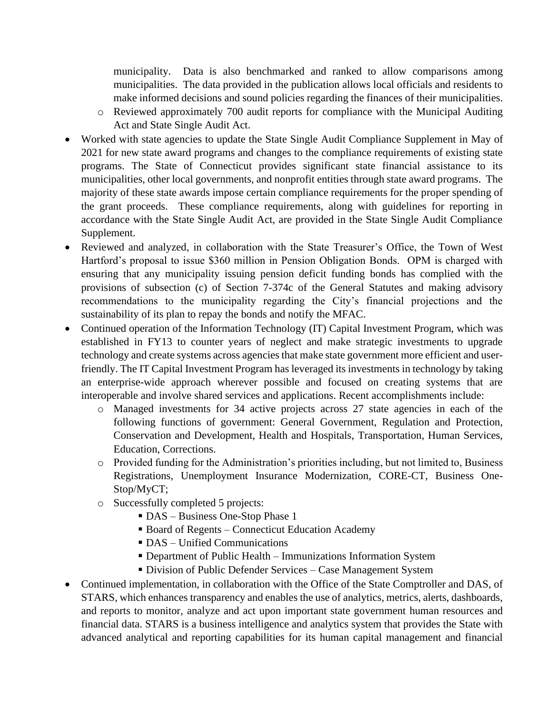municipality. Data is also benchmarked and ranked to allow comparisons among municipalities. The data provided in the publication allows local officials and residents to make informed decisions and sound policies regarding the finances of their municipalities.

- o Reviewed approximately 700 audit reports for compliance with the Municipal Auditing Act and State Single Audit Act.
- Worked with state agencies to update the State Single Audit Compliance Supplement in May of 2021 for new state award programs and changes to the compliance requirements of existing state programs. The State of Connecticut provides significant state financial assistance to its municipalities, other local governments, and nonprofit entities through state award programs. The majority of these state awards impose certain compliance requirements for the proper spending of the grant proceeds. These compliance requirements, along with guidelines for reporting in accordance with the State Single Audit Act, are provided in the State Single Audit Compliance Supplement.
- Reviewed and analyzed, in collaboration with the State Treasurer's Office, the Town of West Hartford's proposal to issue \$360 million in Pension Obligation Bonds. OPM is charged with ensuring that any municipality issuing pension deficit funding bonds has complied with the provisions of subsection (c) of Section 7-374c of the General Statutes and making advisory recommendations to the municipality regarding the City's financial projections and the sustainability of its plan to repay the bonds and notify the MFAC.
- Continued operation of the Information Technology (IT) Capital Investment Program, which was established in FY13 to counter years of neglect and make strategic investments to upgrade technology and create systems across agencies that make state government more efficient and userfriendly. The IT Capital Investment Program has leveraged its investments in technology by taking an enterprise-wide approach wherever possible and focused on creating systems that are interoperable and involve shared services and applications. Recent accomplishments include:
	- o Managed investments for 34 active projects across 27 state agencies in each of the following functions of government: General Government, Regulation and Protection, Conservation and Development, Health and Hospitals, Transportation, Human Services, Education, Corrections.
	- $\circ$  Provided funding for the Administration's priorities including, but not limited to, Business Registrations, Unemployment Insurance Modernization, CORE-CT, Business One-Stop/MyCT;
	- o Successfully completed 5 projects:
		- DAS Business One-Stop Phase 1
		- Board of Regents Connecticut Education Academy
		- **DAS** Unified Communications
		- **Department of Public Health Immunizations Information System**
		- Division of Public Defender Services Case Management System
- Continued implementation, in collaboration with the Office of the State Comptroller and DAS, of STARS, which enhances transparency and enables the use of analytics, metrics, alerts, dashboards, and reports to monitor, analyze and act upon important state government human resources and financial data. STARS is a business intelligence and analytics system that provides the State with advanced analytical and reporting capabilities for its human capital management and financial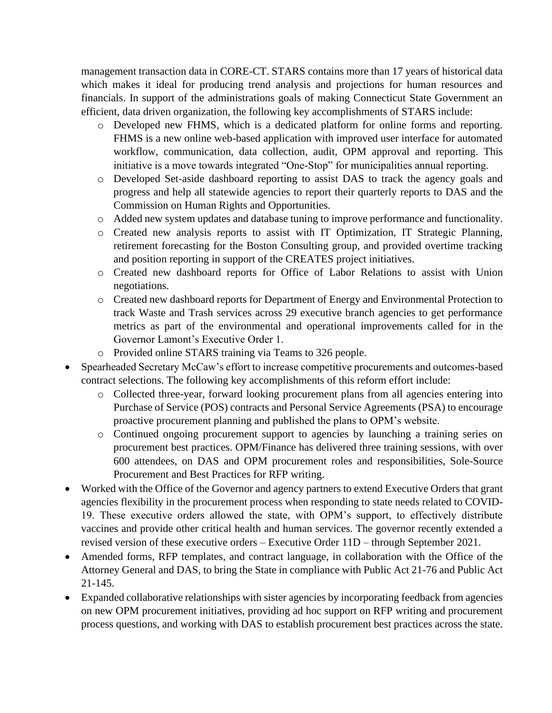management transaction data in CORE-CT. STARS contains more than 17 years of historical data which makes it ideal for producing trend analysis and projections for human resources and financials. In support of the administrations goals of making Connecticut State Government an efficient, data driven organization, the following key accomplishments of STARS include:

- o Developed new FHMS, which is a dedicated platform for online forms and reporting. FHMS is a new online web-based application with improved user interface for automated workflow, communication, data collection, audit, OPM approval and reporting. This initiative is a move towards integrated "One-Stop" for municipalities annual reporting.
- o Developed Set-aside dashboard reporting to assist DAS to track the agency goals and progress and help all statewide agencies to report their quarterly reports to DAS and the Commission on Human Rights and Opportunities.
- o Added new system updates and database tuning to improve performance and functionality.
- o Created new analysis reports to assist with IT Optimization, IT Strategic Planning, retirement forecasting for the Boston Consulting group, and provided overtime tracking and position reporting in support of the CREATES project initiatives.
- o Created new dashboard reports for Office of Labor Relations to assist with Union negotiations.
- o Created new dashboard reports for Department of Energy and Environmental Protection to track Waste and Trash services across 29 executive branch agencies to get performance metrics as part of the environmental and operational improvements called for in the Governor Lamont's Executive Order 1.
- o Provided online STARS training via Teams to 326 people.
- Spearheaded Secretary McCaw's effort to increase competitive procurements and outcomes-based contract selections. The following key accomplishments of this reform effort include:
	- o Collected three-year, forward looking procurement plans from all agencies entering into Purchase of Service (POS) contracts and Personal Service Agreements (PSA) to encourage proactive procurement planning and published the plans to OPM's website.
	- o Continued ongoing procurement support to agencies by launching a training series on procurement best practices. OPM/Finance has delivered three training sessions, with over 600 attendees, on DAS and OPM procurement roles and responsibilities, Sole-Source Procurement and Best Practices for RFP writing.
- Worked with the Office of the Governor and agency partners to extend Executive Orders that grant agencies flexibility in the procurement process when responding to state needs related to COVID-19. These executive orders allowed the state, with OPM's support, to effectively distribute vaccines and provide other critical health and human services. The governor recently extended a revised version of these executive orders – Executive Order 11D – through September 2021.
- Amended forms, RFP templates, and contract language, in collaboration with the Office of the Attorney General and DAS, to bring the State in compliance with Public Act 21-76 and Public Act 21-145.
- Expanded collaborative relationships with sister agencies by incorporating feedback from agencies on new OPM procurement initiatives, providing ad hoc support on RFP writing and procurement process questions, and working with DAS to establish procurement best practices across the state.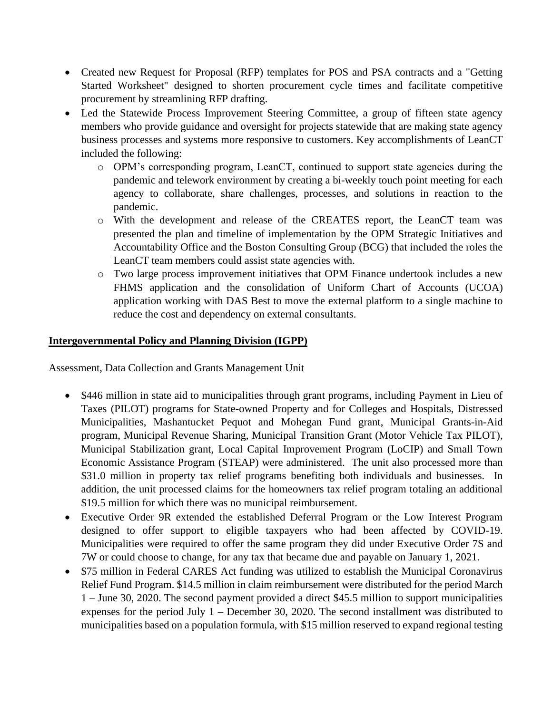- Created new Request for Proposal (RFP) templates for POS and PSA contracts and a "Getting Started Worksheet" designed to shorten procurement cycle times and facilitate competitive procurement by streamlining RFP drafting.
- Led the Statewide Process Improvement Steering Committee, a group of fifteen state agency members who provide guidance and oversight for projects statewide that are making state agency business processes and systems more responsive to customers. Key accomplishments of LeanCT included the following:
	- o OPM's corresponding program, LeanCT, continued to support state agencies during the pandemic and telework environment by creating a bi-weekly touch point meeting for each agency to collaborate, share challenges, processes, and solutions in reaction to the pandemic.
	- o With the development and release of the CREATES report, the LeanCT team was presented the plan and timeline of implementation by the OPM Strategic Initiatives and Accountability Office and the Boston Consulting Group (BCG) that included the roles the LeanCT team members could assist state agencies with.
	- o Two large process improvement initiatives that OPM Finance undertook includes a new FHMS application and the consolidation of Uniform Chart of Accounts (UCOA) application working with DAS Best to move the external platform to a single machine to reduce the cost and dependency on external consultants.

## **Intergovernmental Policy and Planning Division (IGPP)**

Assessment, Data Collection and Grants Management Unit

- \$446 million in state aid to municipalities through grant programs, including Payment in Lieu of Taxes (PILOT) programs for State-owned Property and for Colleges and Hospitals, Distressed Municipalities, Mashantucket Pequot and Mohegan Fund grant, Municipal Grants-in-Aid program, Municipal Revenue Sharing, Municipal Transition Grant (Motor Vehicle Tax PILOT), Municipal Stabilization grant, Local Capital Improvement Program (LoCIP) and Small Town Economic Assistance Program (STEAP) were administered. The unit also processed more than \$31.0 million in property tax relief programs benefiting both individuals and businesses. In addition, the unit processed claims for the homeowners tax relief program totaling an additional \$19.5 million for which there was no municipal reimbursement.
- Executive Order 9R extended the established Deferral Program or the Low Interest Program designed to offer support to eligible taxpayers who had been affected by COVID-19. Municipalities were required to offer the same program they did under Executive Order 7S and 7W or could choose to change, for any tax that became due and payable on January 1, 2021.
- \$75 million in Federal CARES Act funding was utilized to establish the Municipal Coronavirus Relief Fund Program. \$14.5 million in claim reimbursement were distributed for the period March 1 – June 30, 2020. The second payment provided a direct \$45.5 million to support municipalities expenses for the period July 1 – December 30, 2020. The second installment was distributed to municipalities based on a population formula, with \$15 million reserved to expand regional testing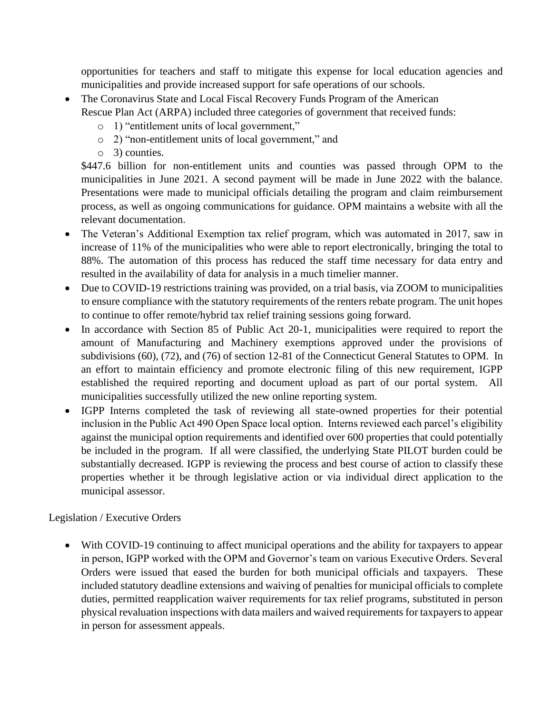opportunities for teachers and staff to mitigate this expense for local education agencies and municipalities and provide increased support for safe operations of our schools.

- The Coronavirus State and Local Fiscal Recovery Funds Program of the American Rescue Plan Act (ARPA) included three categories of government that received funds:
	- o 1) "entitlement units of local government,"
	- o 2) "non-entitlement units of local government," and
	- o 3) counties.

\$447.6 billion for non-entitlement units and counties was passed through OPM to the municipalities in June 2021. A second payment will be made in June 2022 with the balance. Presentations were made to municipal officials detailing the program and claim reimbursement process, as well as ongoing communications for guidance. OPM maintains a website with all the relevant documentation.

- The Veteran's Additional Exemption tax relief program, which was automated in 2017, saw in increase of 11% of the municipalities who were able to report electronically, bringing the total to 88%. The automation of this process has reduced the staff time necessary for data entry and resulted in the availability of data for analysis in a much timelier manner.
- Due to COVID-19 restrictions training was provided, on a trial basis, via ZOOM to municipalities to ensure compliance with the statutory requirements of the renters rebate program. The unit hopes to continue to offer remote/hybrid tax relief training sessions going forward.
- In accordance with Section 85 of Public Act 20-1, municipalities were required to report the amount of Manufacturing and Machinery exemptions approved under the provisions of subdivisions (60), (72), and (76) of section 12-81 of the Connecticut General Statutes to OPM. In an effort to maintain efficiency and promote electronic filing of this new requirement, IGPP established the required reporting and document upload as part of our portal system. All municipalities successfully utilized the new online reporting system.
- IGPP Interns completed the task of reviewing all state-owned properties for their potential inclusion in the Public Act 490 Open Space local option. Interns reviewed each parcel's eligibility against the municipal option requirements and identified over 600 properties that could potentially be included in the program. If all were classified, the underlying State PILOT burden could be substantially decreased. IGPP is reviewing the process and best course of action to classify these properties whether it be through legislative action or via individual direct application to the municipal assessor.

## Legislation / Executive Orders

• With COVID-19 continuing to affect municipal operations and the ability for taxpayers to appear in person, IGPP worked with the OPM and Governor's team on various Executive Orders. Several Orders were issued that eased the burden for both municipal officials and taxpayers. These included statutory deadline extensions and waiving of penalties for municipal officials to complete duties, permitted reapplication waiver requirements for tax relief programs, substituted in person physical revaluation inspections with data mailers and waived requirements for taxpayers to appear in person for assessment appeals.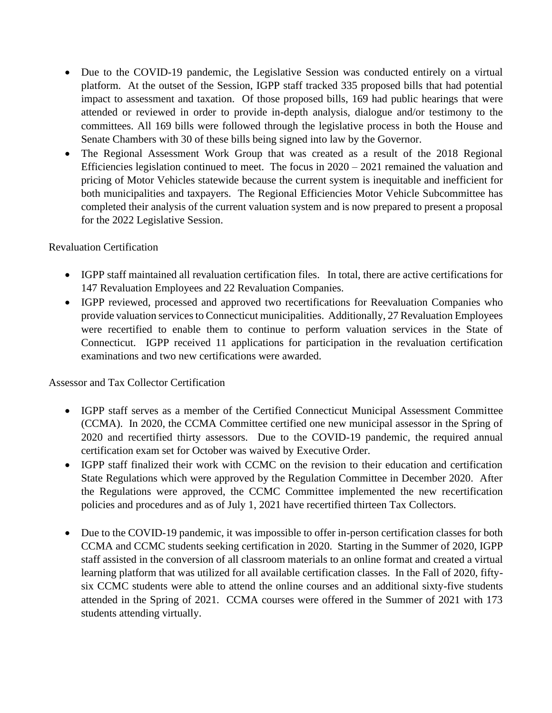- Due to the COVID-19 pandemic, the Legislative Session was conducted entirely on a virtual platform. At the outset of the Session, IGPP staff tracked 335 proposed bills that had potential impact to assessment and taxation. Of those proposed bills, 169 had public hearings that were attended or reviewed in order to provide in-depth analysis, dialogue and/or testimony to the committees. All 169 bills were followed through the legislative process in both the House and Senate Chambers with 30 of these bills being signed into law by the Governor.
- The Regional Assessment Work Group that was created as a result of the 2018 Regional Efficiencies legislation continued to meet. The focus in  $2020 - 2021$  remained the valuation and pricing of Motor Vehicles statewide because the current system is inequitable and inefficient for both municipalities and taxpayers. The Regional Efficiencies Motor Vehicle Subcommittee has completed their analysis of the current valuation system and is now prepared to present a proposal for the 2022 Legislative Session.

## Revaluation Certification

- IGPP staff maintained all revaluation certification files. In total, there are active certifications for 147 Revaluation Employees and 22 Revaluation Companies.
- IGPP reviewed, processed and approved two recertifications for Reevaluation Companies who provide valuation services to Connecticut municipalities. Additionally, 27 Revaluation Employees were recertified to enable them to continue to perform valuation services in the State of Connecticut. IGPP received 11 applications for participation in the revaluation certification examinations and two new certifications were awarded.

#### Assessor and Tax Collector Certification

- IGPP staff serves as a member of the Certified Connecticut Municipal Assessment Committee (CCMA). In 2020, the CCMA Committee certified one new municipal assessor in the Spring of 2020 and recertified thirty assessors. Due to the COVID-19 pandemic, the required annual certification exam set for October was waived by Executive Order.
- IGPP staff finalized their work with CCMC on the revision to their education and certification State Regulations which were approved by the Regulation Committee in December 2020. After the Regulations were approved, the CCMC Committee implemented the new recertification policies and procedures and as of July 1, 2021 have recertified thirteen Tax Collectors.
- Due to the COVID-19 pandemic, it was impossible to offer in-person certification classes for both CCMA and CCMC students seeking certification in 2020. Starting in the Summer of 2020, IGPP staff assisted in the conversion of all classroom materials to an online format and created a virtual learning platform that was utilized for all available certification classes. In the Fall of 2020, fiftysix CCMC students were able to attend the online courses and an additional sixty-five students attended in the Spring of 2021. CCMA courses were offered in the Summer of 2021 with 173 students attending virtually.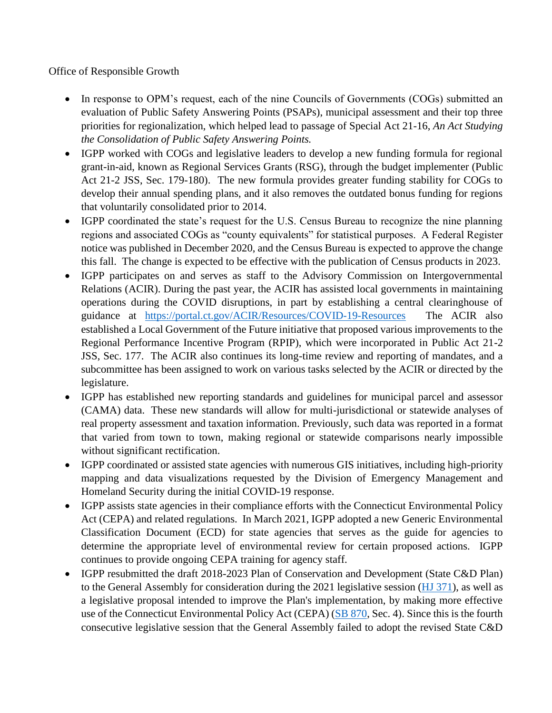Office of Responsible Growth

- In response to OPM's request, each of the nine Councils of Governments (COGs) submitted an evaluation of Public Safety Answering Points (PSAPs), municipal assessment and their top three priorities for regionalization, which helped lead to passage of Special Act 21-16, *An Act Studying the Consolidation of Public Safety Answering Points.*
- IGPP worked with COGs and legislative leaders to develop a new funding formula for regional grant-in-aid, known as Regional Services Grants (RSG), through the budget implementer (Public Act 21-2 JSS, Sec. 179-180). The new formula provides greater funding stability for COGs to develop their annual spending plans, and it also removes the outdated bonus funding for regions that voluntarily consolidated prior to 2014.
- IGPP coordinated the state's request for the U.S. Census Bureau to recognize the nine planning regions and associated COGs as "county equivalents" for statistical purposes. A Federal Register notice was published in December 2020, and the Census Bureau is expected to approve the change this fall. The change is expected to be effective with the publication of Census products in 2023.
- IGPP participates on and serves as staff to the Advisory Commission on Intergovernmental Relations (ACIR). During the past year, the ACIR has assisted local governments in maintaining operations during the COVID disruptions, in part by establishing a central clearinghouse of guidance at <https://portal.ct.gov/ACIR/Resources/COVID-19-Resources> The ACIR also established a Local Government of the Future initiative that proposed various improvements to the Regional Performance Incentive Program (RPIP), which were incorporated in Public Act 21-2 JSS, Sec. 177. The ACIR also continues its long-time review and reporting of mandates, and a subcommittee has been assigned to work on various tasks selected by the ACIR or directed by the legislature.
- IGPP has established new reporting standards and guidelines for municipal parcel and assessor (CAMA) data. These new standards will allow for multi-jurisdictional or statewide analyses of real property assessment and taxation information. Previously, such data was reported in a format that varied from town to town, making regional or statewide comparisons nearly impossible without significant rectification.
- IGPP coordinated or assisted state agencies with numerous GIS initiatives, including high-priority mapping and data visualizations requested by the Division of Emergency Management and Homeland Security during the initial COVID-19 response.
- IGPP assists state agencies in their compliance efforts with the Connecticut Environmental Policy Act (CEPA) and related regulations. In March 2021, IGPP adopted a new Generic Environmental Classification Document (ECD) for state agencies that serves as the guide for agencies to determine the appropriate level of environmental review for certain proposed actions. IGPP continues to provide ongoing CEPA training for agency staff.
- IGPP resubmitted the draft 2018-2023 Plan of Conservation and Development (State C&D Plan) to the General Assembly for consideration during the 2021 legislative session [\(HJ 371\)](https://www.cga.ct.gov/asp/cgabillstatus/cgabillstatus.asp?selBillType=Senate+Cal&which_year=2021&bill_num=421), as well as a legislative proposal intended to improve the Plan's implementation, by making more effective use of the Connecticut Environmental Policy Act (CEPA) [\(SB 870,](https://www.cga.ct.gov/asp/cgabillstatus/cgabillstatus.asp?selBillType=Senate+Cal&which_year=2021&bill_num=323) Sec. 4). Since this is the fourth consecutive legislative session that the General Assembly failed to adopt the revised State C&D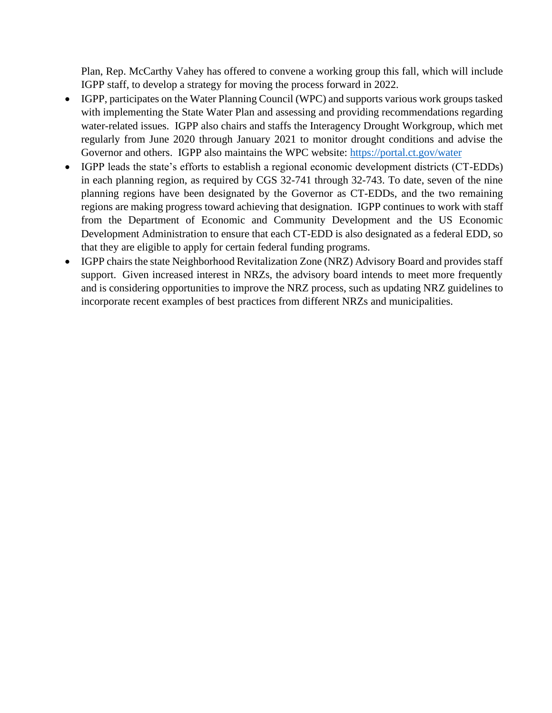Plan, Rep. McCarthy Vahey has offered to convene a working group this fall, which will include IGPP staff, to develop a strategy for moving the process forward in 2022.

- IGPP, participates on the Water Planning Council (WPC) and supports various work groups tasked with implementing the State Water Plan and assessing and providing recommendations regarding water-related issues. IGPP also chairs and staffs the Interagency Drought Workgroup, which met regularly from June 2020 through January 2021 to monitor drought conditions and advise the Governor and others. IGPP also maintains the WPC website:<https://portal.ct.gov/water>
- IGPP leads the state's efforts to establish a regional economic development districts (CT-EDDs) in each planning region, as required by CGS 32-741 through 32-743. To date, seven of the nine planning regions have been designated by the Governor as CT-EDDs, and the two remaining regions are making progress toward achieving that designation. IGPP continues to work with staff from the Department of Economic and Community Development and the US Economic Development Administration to ensure that each CT-EDD is also designated as a federal EDD, so that they are eligible to apply for certain federal funding programs.
- IGPP chairs the state Neighborhood Revitalization Zone (NRZ) Advisory Board and provides staff support. Given increased interest in NRZs, the advisory board intends to meet more frequently and is considering opportunities to improve the NRZ process, such as updating NRZ guidelines to incorporate recent examples of best practices from different NRZs and municipalities.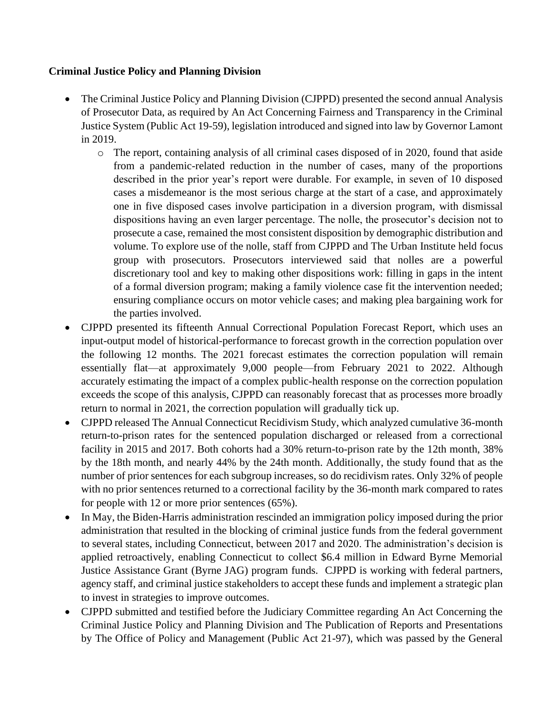## **Criminal Justice Policy and Planning Division**

- The Criminal Justice Policy and Planning Division (CJPPD) presented the second annual Analysis of Prosecutor Data, as required by An Act Concerning Fairness and Transparency in the Criminal Justice System (Public Act 19-59), legislation introduced and signed into law by Governor Lamont in 2019.
	- o The report, containing analysis of all criminal cases disposed of in 2020, found that aside from a pandemic-related reduction in the number of cases, many of the proportions described in the prior year's report were durable. For example, in seven of 10 disposed cases a misdemeanor is the most serious charge at the start of a case, and approximately one in five disposed cases involve participation in a diversion program, with dismissal dispositions having an even larger percentage. The nolle, the prosecutor's decision not to prosecute a case, remained the most consistent disposition by demographic distribution and volume. To explore use of the nolle, staff from CJPPD and The Urban Institute held focus group with prosecutors. Prosecutors interviewed said that nolles are a powerful discretionary tool and key to making other dispositions work: filling in gaps in the intent of a formal diversion program; making a family violence case fit the intervention needed; ensuring compliance occurs on motor vehicle cases; and making plea bargaining work for the parties involved.
- CJPPD presented its fifteenth Annual Correctional Population Forecast Report, which uses an input-output model of historical-performance to forecast growth in the correction population over the following 12 months. The 2021 forecast estimates the correction population will remain essentially flat—at approximately 9,000 people—from February 2021 to 2022. Although accurately estimating the impact of a complex public-health response on the correction population exceeds the scope of this analysis, CJPPD can reasonably forecast that as processes more broadly return to normal in 2021, the correction population will gradually tick up.
- CJPPD released The Annual Connecticut Recidivism Study, which analyzed cumulative 36-month return-to-prison rates for the sentenced population discharged or released from a correctional facility in 2015 and 2017. Both cohorts had a 30% return-to-prison rate by the 12th month, 38% by the 18th month, and nearly 44% by the 24th month. Additionally, the study found that as the number of prior sentences for each subgroup increases, so do recidivism rates. Only 32% of people with no prior sentences returned to a correctional facility by the 36-month mark compared to rates for people with 12 or more prior sentences (65%).
- In May, the Biden-Harris administration rescinded an immigration policy imposed during the prior administration that resulted in the blocking of criminal justice funds from the federal government to several states, including Connecticut, between 2017 and 2020. The administration's decision is applied retroactively, enabling Connecticut to collect \$6.4 million in Edward Byrne Memorial Justice Assistance Grant (Byrne JAG) program funds. CJPPD is working with federal partners, agency staff, and criminal justice stakeholders to accept these funds and implement a strategic plan to invest in strategies to improve outcomes.
- CJPPD submitted and testified before the Judiciary Committee regarding An Act Concerning the Criminal Justice Policy and Planning Division and The Publication of Reports and Presentations by The Office of Policy and Management (Public Act 21-97), which was passed by the General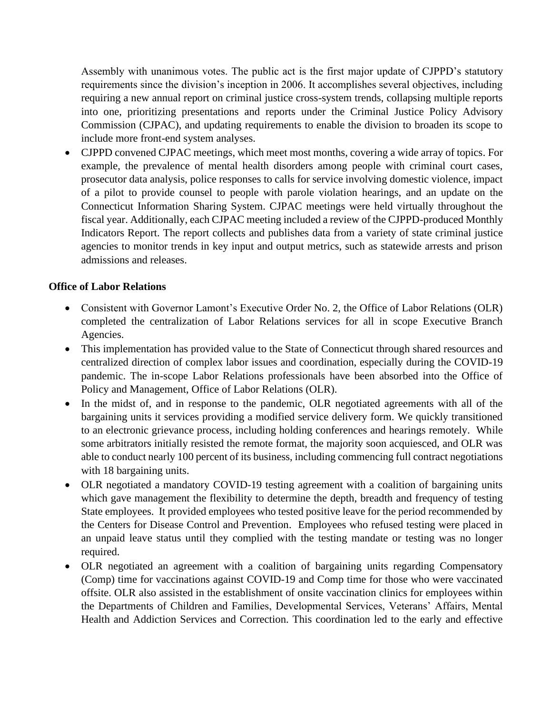Assembly with unanimous votes. The public act is the first major update of CJPPD's statutory requirements since the division's inception in 2006. It accomplishes several objectives, including requiring a new annual report on criminal justice cross-system trends, collapsing multiple reports into one, prioritizing presentations and reports under the Criminal Justice Policy Advisory Commission (CJPAC), and updating requirements to enable the division to broaden its scope to include more front-end system analyses.

• CJPPD convened CJPAC meetings, which meet most months, covering a wide array of topics. For example, the prevalence of mental health disorders among people with criminal court cases, prosecutor data analysis, police responses to calls for service involving domestic violence, impact of a pilot to provide counsel to people with parole violation hearings, and an update on the Connecticut Information Sharing System. CJPAC meetings were held virtually throughout the fiscal year. Additionally, each CJPAC meeting included a review of the CJPPD-produced Monthly Indicators Report. The report collects and publishes data from a variety of state criminal justice agencies to monitor trends in key input and output metrics, such as statewide arrests and prison admissions and releases.

## **Office of Labor Relations**

- Consistent with Governor Lamont's Executive Order No. 2, the Office of Labor Relations (OLR) completed the centralization of Labor Relations services for all in scope Executive Branch Agencies.
- This implementation has provided value to the State of Connecticut through shared resources and centralized direction of complex labor issues and coordination, especially during the COVID-19 pandemic. The in-scope Labor Relations professionals have been absorbed into the Office of Policy and Management, Office of Labor Relations (OLR).
- In the midst of, and in response to the pandemic, OLR negotiated agreements with all of the bargaining units it services providing a modified service delivery form. We quickly transitioned to an electronic grievance process, including holding conferences and hearings remotely. While some arbitrators initially resisted the remote format, the majority soon acquiesced, and OLR was able to conduct nearly 100 percent of its business, including commencing full contract negotiations with 18 bargaining units.
- OLR negotiated a mandatory COVID-19 testing agreement with a coalition of bargaining units which gave management the flexibility to determine the depth, breadth and frequency of testing State employees. It provided employees who tested positive leave for the period recommended by the Centers for Disease Control and Prevention. Employees who refused testing were placed in an unpaid leave status until they complied with the testing mandate or testing was no longer required.
- OLR negotiated an agreement with a coalition of bargaining units regarding Compensatory (Comp) time for vaccinations against COVID-19 and Comp time for those who were vaccinated offsite. OLR also assisted in the establishment of onsite vaccination clinics for employees within the Departments of Children and Families, Developmental Services, Veterans' Affairs, Mental Health and Addiction Services and Correction. This coordination led to the early and effective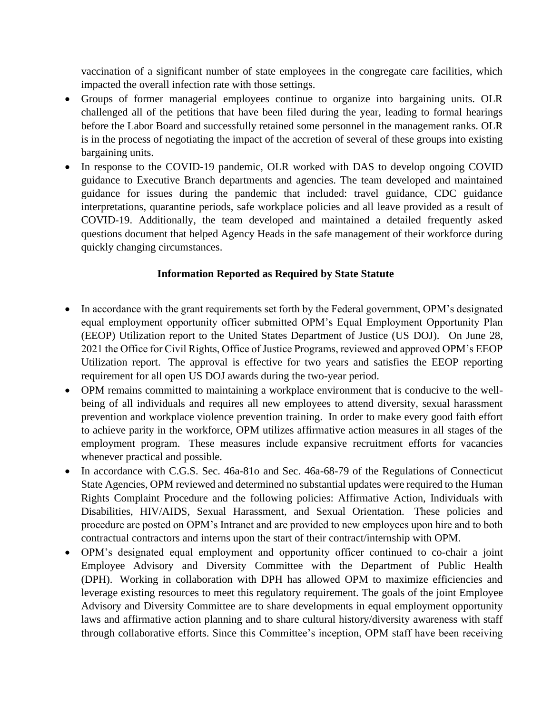vaccination of a significant number of state employees in the congregate care facilities, which impacted the overall infection rate with those settings.

- Groups of former managerial employees continue to organize into bargaining units. OLR challenged all of the petitions that have been filed during the year, leading to formal hearings before the Labor Board and successfully retained some personnel in the management ranks. OLR is in the process of negotiating the impact of the accretion of several of these groups into existing bargaining units.
- In response to the COVID-19 pandemic, OLR worked with DAS to develop ongoing COVID guidance to Executive Branch departments and agencies. The team developed and maintained guidance for issues during the pandemic that included: travel guidance, CDC guidance interpretations, quarantine periods, safe workplace policies and all leave provided as a result of COVID-19. Additionally, the team developed and maintained a detailed frequently asked questions document that helped Agency Heads in the safe management of their workforce during quickly changing circumstances.

## **Information Reported as Required by State Statute**

- In accordance with the grant requirements set forth by the Federal government, OPM's designated equal employment opportunity officer submitted OPM's Equal Employment Opportunity Plan (EEOP) Utilization report to the United States Department of Justice (US DOJ). On June 28, 2021 the Office for Civil Rights, Office of Justice Programs, reviewed and approved OPM's EEOP Utilization report. The approval is effective for two years and satisfies the EEOP reporting requirement for all open US DOJ awards during the two-year period.
- OPM remains committed to maintaining a workplace environment that is conducive to the wellbeing of all individuals and requires all new employees to attend diversity, sexual harassment prevention and workplace violence prevention training. In order to make every good faith effort to achieve parity in the workforce, OPM utilizes affirmative action measures in all stages of the employment program. These measures include expansive recruitment efforts for vacancies whenever practical and possible.
- In accordance with C.G.S. Sec. 46a-81o and Sec. 46a-68-79 of the Regulations of Connecticut State Agencies, OPM reviewed and determined no substantial updates were required to the Human Rights Complaint Procedure and the following policies: Affirmative Action, Individuals with Disabilities, HIV/AIDS, Sexual Harassment, and Sexual Orientation. These policies and procedure are posted on OPM's Intranet and are provided to new employees upon hire and to both contractual contractors and interns upon the start of their contract/internship with OPM.
- OPM's designated equal employment and opportunity officer continued to co-chair a joint Employee Advisory and Diversity Committee with the Department of Public Health (DPH). Working in collaboration with DPH has allowed OPM to maximize efficiencies and leverage existing resources to meet this regulatory requirement. The goals of the joint Employee Advisory and Diversity Committee are to share developments in equal employment opportunity laws and affirmative action planning and to share cultural history/diversity awareness with staff through collaborative efforts. Since this Committee's inception, OPM staff have been receiving